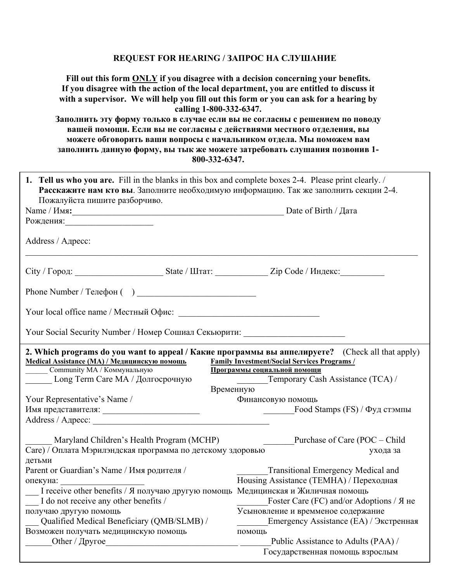## REQUEST FOR HEARING / ЗАПРОС НА СЛУШАНИЕ

Fill out this form **ONLY** if you disagree with a decision concerning your benefits. If you disagree with the action of the local department, you are entitled to discuss it with a supervisor. We will help you fill out this form or you can ask for a hearing by calling 1-800-332-6347. Заполнить эту форму только в случае если вы не согласны с решением по поводу

вашей помощи. Если вы не согласны с действиями местного отделения, вы можете обговорить ваши вопросы с начальником отдела. Мы поможем вам заполнить данную форму, вы тык же можете затребовать слушания позвонив 1-800-332-6347.

| 1. Tell us who you are. Fill in the blanks in this box and complete boxes 2-4. Please print clearly. /<br>Расскажите нам кто вы. Заполните необходимую информацию. Так же заполнить секции 2-4.<br>Пожалуйста пишите разборчиво. |  |                                                                                                                                                                                                                             |  |
|----------------------------------------------------------------------------------------------------------------------------------------------------------------------------------------------------------------------------------|--|-----------------------------------------------------------------------------------------------------------------------------------------------------------------------------------------------------------------------------|--|
| Name / Имя: Date of Birth / Дата                                                                                                                                                                                                 |  |                                                                                                                                                                                                                             |  |
| Рождения: При поставления: При поставительно по поставки по поставки по поставки по поставки по поставки по по                                                                                                                   |  |                                                                                                                                                                                                                             |  |
|                                                                                                                                                                                                                                  |  |                                                                                                                                                                                                                             |  |
| Address / Адресс:                                                                                                                                                                                                                |  |                                                                                                                                                                                                                             |  |
|                                                                                                                                                                                                                                  |  | City / Город: ___________________________State / Штат: ______________Zip Code / Индекс:____________                                                                                                                         |  |
| Phone Number / Телефон ()                                                                                                                                                                                                        |  |                                                                                                                                                                                                                             |  |
|                                                                                                                                                                                                                                  |  |                                                                                                                                                                                                                             |  |
| Your Social Security Number / Номер Сошиал Секьюрити: __________________________                                                                                                                                                 |  |                                                                                                                                                                                                                             |  |
| Medical Assistance (МА) / Медицинскую помощь<br>Community MA / Коммунальную<br>Long Term Care MA / Долгосрочную                                                                                                                  |  | 2. Which programs do you want to appeal / Какие программы вы аппелируете? (Check all that apply)<br><b>Family Investment/Social Services Programs /</b><br>Программы социальной помощи<br>Temporary Cash Assistance (TCA) / |  |
| Временную                                                                                                                                                                                                                        |  |                                                                                                                                                                                                                             |  |
| Your Representative's Name /                                                                                                                                                                                                     |  | Финансовую помощь                                                                                                                                                                                                           |  |
|                                                                                                                                                                                                                                  |  |                                                                                                                                                                                                                             |  |
| Address / Agpecc:                                                                                                                                                                                                                |  |                                                                                                                                                                                                                             |  |
| Maryland Children's Health Program (MCHP)<br>Care) / Оплата Мэрилэндская программа по детскому здоровью<br>детьми                                                                                                                |  | Purchase of Care (POC – Child<br>ухода за                                                                                                                                                                                   |  |
| Parent or Guardian's Name / Имя родителя /                                                                                                                                                                                       |  | <b>Transitional Emergency Medical and</b><br>Housing Assistance (ТЕМНА) / Переходная                                                                                                                                        |  |
| I receive other benefits / Я получаю другую помощь Медицинская и Жиличная помощь<br>I do not receive any other benefits / Foster Care (FC) and/or Adoptions / Я не                                                               |  |                                                                                                                                                                                                                             |  |
|                                                                                                                                                                                                                                  |  |                                                                                                                                                                                                                             |  |
| получаю другую помощь<br>Qualified Medical Beneficiary (QMB/SLMB) /                                                                                                                                                              |  | Усыновление и времменое содержание<br>Emergency Assistance (EA) / Экстренная                                                                                                                                                |  |
|                                                                                                                                                                                                                                  |  |                                                                                                                                                                                                                             |  |
| Возможен получать медицинскую помощь                                                                                                                                                                                             |  | помощь                                                                                                                                                                                                                      |  |
| Other / $\Delta$ pyroe                                                                                                                                                                                                           |  | Public Assistance to Adults (PAA) /                                                                                                                                                                                         |  |
|                                                                                                                                                                                                                                  |  | Государственная помощь взрослым                                                                                                                                                                                             |  |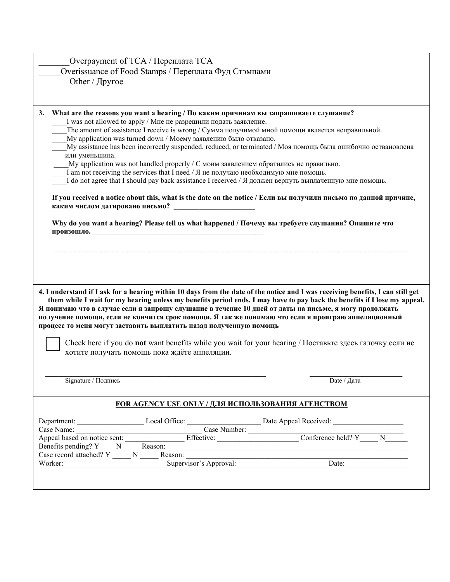| Overpayment of TCA / Переплата TCA                                                                                              |  |  |
|---------------------------------------------------------------------------------------------------------------------------------|--|--|
| Overissuance of Food Stamps / Переплата Фуд Стэмпами                                                                            |  |  |
|                                                                                                                                 |  |  |
|                                                                                                                                 |  |  |
|                                                                                                                                 |  |  |
| What are the reasons you want a hearing / По каким причинам вы запрашиваете слушание?<br>3.                                     |  |  |
| I was not allowed to apply / Мне не разрешили подать заявление.                                                                 |  |  |
| The amount of assistance I receive is wrong / Сумма получимой мной помощи является неправильной.                                |  |  |
| My application was turned down / Моему заявлению было отказано.                                                                 |  |  |
| My assistance has been incorrectly suspended, reduced, or terminated / Моя помощь была ошибочно оствановлена                    |  |  |
| или уменьшина.                                                                                                                  |  |  |
| My application was not handled properly / С моим заявлением обратились не правильно.                                            |  |  |
| I am not receiving the services that I need / Я не получаю необходимую мне помощь.                                              |  |  |
| I do not agree that I should pay back assistance I received / Я должен вернуть выплаченную мне помощь.                          |  |  |
|                                                                                                                                 |  |  |
| If you received a notice about this, what is the date on the notice / Если вы получили письмо по данной причине,                |  |  |
| каким числом датировано письмо?                                                                                                 |  |  |
| Why do you want a hearing? Please tell us what happened / Почему вы требуете слушания? Опишите что                              |  |  |
| произошло. Произошло и произошло произошло произошло произошло произошло произошло произошло произошло произошл                 |  |  |
|                                                                                                                                 |  |  |
|                                                                                                                                 |  |  |
|                                                                                                                                 |  |  |
|                                                                                                                                 |  |  |
|                                                                                                                                 |  |  |
|                                                                                                                                 |  |  |
| 4. I understand if I ask for a hearing within 10 days from the date of the notice and I was receiving benefits, I can still get |  |  |
| them while I wait for my hearing unless my benefits period ends. I may have to pay back the benefits if I lose my appeal.       |  |  |
| Я понимаю что в случае если я запрошу слушание в течение 10 дней от даты на письме, я могу продолжать                           |  |  |
| получение помощи, если не кончится срок помощи. Я так же понимаю что если я проиграю аппеляционный                              |  |  |
| процесс то меня могут заставить выплатить назад полученную помощь                                                               |  |  |
|                                                                                                                                 |  |  |
| Check here if you do not want benefits while you wait for your hearing / Поставьте здесь галочку если не                        |  |  |
| хотите получать помощь пока ждёте аппеляции.                                                                                    |  |  |
|                                                                                                                                 |  |  |
|                                                                                                                                 |  |  |
| Signature / Подпись<br>Date / Дата                                                                                              |  |  |
|                                                                                                                                 |  |  |
|                                                                                                                                 |  |  |
| <b>FOR AGENCY USE ONLY / ДЛЯ ИСПОЛЬЗОВАНИЯ АГЕНСТВОМ</b>                                                                        |  |  |
| Department: Local Office: Local Office: Date Appeal Received: Local Contract Date Appeal Received:                              |  |  |
|                                                                                                                                 |  |  |
|                                                                                                                                 |  |  |
|                                                                                                                                 |  |  |
|                                                                                                                                 |  |  |
|                                                                                                                                 |  |  |
|                                                                                                                                 |  |  |
|                                                                                                                                 |  |  |
|                                                                                                                                 |  |  |

Г